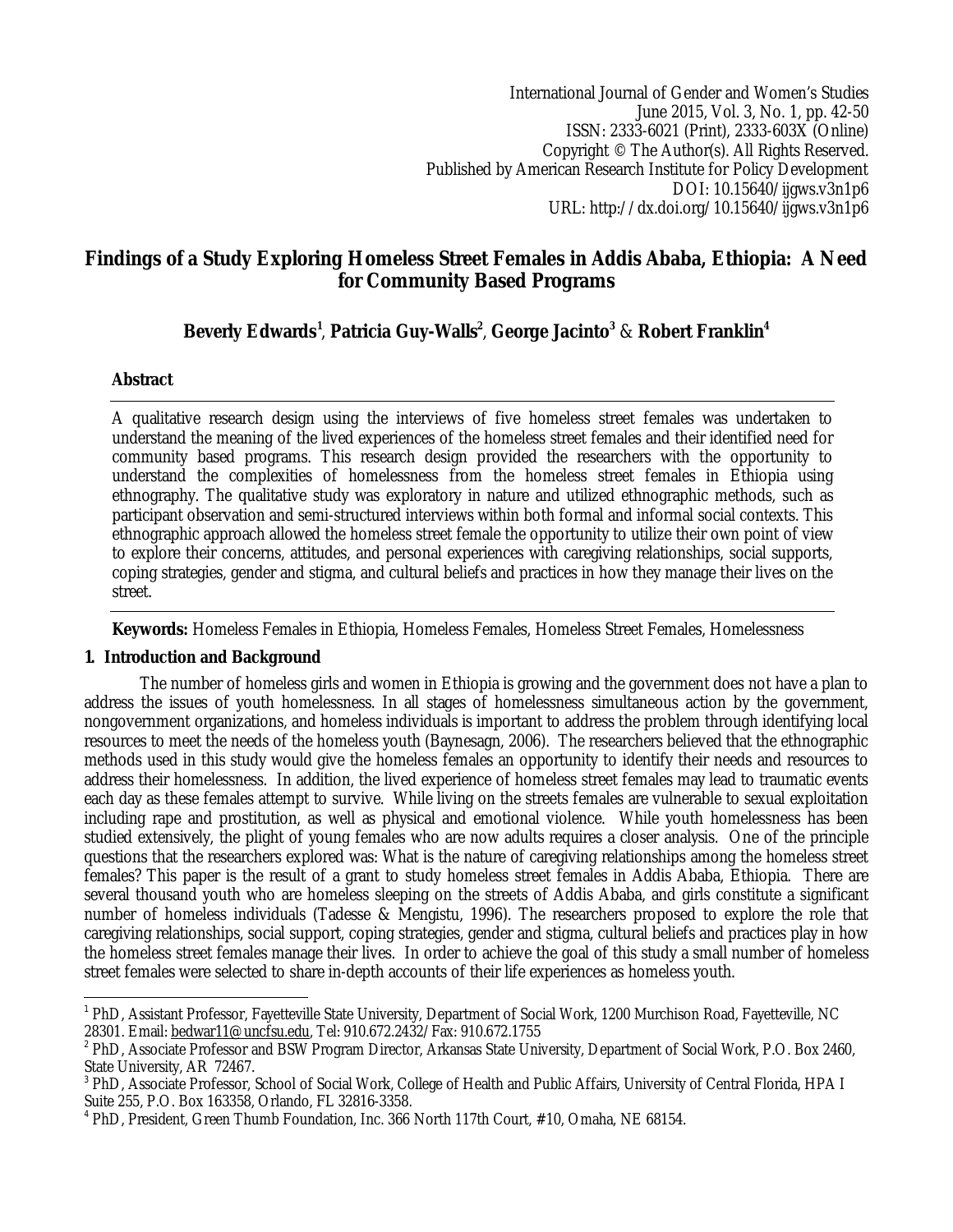International Journal of Gender and Women's Studies June 2015, Vol. 3, No. 1, pp. 42-50 ISSN: 2333-6021 (Print), 2333-603X (Online) Copyright © The Author(s). All Rights Reserved. Published by American Research Institute for Policy Development DOI: 10.15640/ijgws.v3n1p6 URL: http://dx.doi.org/10.15640/ijgws.v3n1p6

# **Findings of a Study Exploring Homeless Street Females in Addis Ababa, Ethiopia: A Need for Community Based Programs**

# **Beverly Edwards<sup>1</sup>** , **Patricia Guy-Walls<sup>2</sup>** , **George Jacinto<sup>3</sup>** & **Robert Franklin<sup>4</sup>**

# **Abstract**

A qualitative research design using the interviews of five homeless street females was undertaken to understand the meaning of the lived experiences of the homeless street females and their identified need for community based programs. This research design provided the researchers with the opportunity to understand the complexities of homelessness from the homeless street females in Ethiopia using ethnography. The qualitative study was exploratory in nature and utilized ethnographic methods, such as participant observation and semi-structured interviews within both formal and informal social contexts. This ethnographic approach allowed the homeless street female the opportunity to utilize their own point of view to explore their concerns, attitudes, and personal experiences with caregiving relationships, social supports, coping strategies, gender and stigma, and cultural beliefs and practices in how they manage their lives on the street.

**Keywords:** Homeless Females in Ethiopia, Homeless Females, Homeless Street Females, Homelessness

# **1. Introduction and Background**

The number of homeless girls and women in Ethiopia is growing and the government does not have a plan to address the issues of youth homelessness. In all stages of homelessness simultaneous action by the government, nongovernment organizations, and homeless individuals is important to address the problem through identifying local resources to meet the needs of the homeless youth (Baynesagn, 2006). The researchers believed that the ethnographic methods used in this study would give the homeless females an opportunity to identify their needs and resources to address their homelessness. In addition, the lived experience of homeless street females may lead to traumatic events each day as these females attempt to survive. While living on the streets females are vulnerable to sexual exploitation including rape and prostitution, as well as physical and emotional violence. While youth homelessness has been studied extensively, the plight of young females who are now adults requires a closer analysis. One of the principle questions that the researchers explored was: What is the nature of caregiving relationships among the homeless street females? This paper is the result of a grant to study homeless street females in Addis Ababa, Ethiopia. There are several thousand youth who are homeless sleeping on the streets of Addis Ababa, and girls constitute a significant number of homeless individuals (Tadesse & Mengistu, 1996). The researchers proposed to explore the role that caregiving relationships, social support, coping strategies, gender and stigma, cultural beliefs and practices play in how the homeless street females manage their lives. In order to achieve the goal of this study a small number of homeless street females were selected to share in-depth accounts of their life experiences as homeless youth.

 $\overline{a}$ <sup>1</sup> PhD, Assistant Professor, Fayetteville State University, Department of Social Work, 1200 Murchison Road, Fayetteville, NC 28301. Email: bedwar11@uncfsu.edu, Tel: 910.672.2432/Fax: 910.672.1755

<sup>&</sup>lt;sup>2</sup> PhD, Associate Professor and BSW Program Director, Arkansas State University, Department of Social Work, P.O. Box 2460, State University, AR 72467.

<sup>&</sup>lt;sup>3</sup> PhD, Associate Professor, School of Social Work, College of Health and Public Affairs, University of Central Florida, HPA I Suite 255, P.O. Box 163358, Orlando, FL 32816-3358.

<sup>4</sup> PhD, President, Green Thumb Foundation, Inc. 366 North 117th Court, #10, Omaha, NE 68154.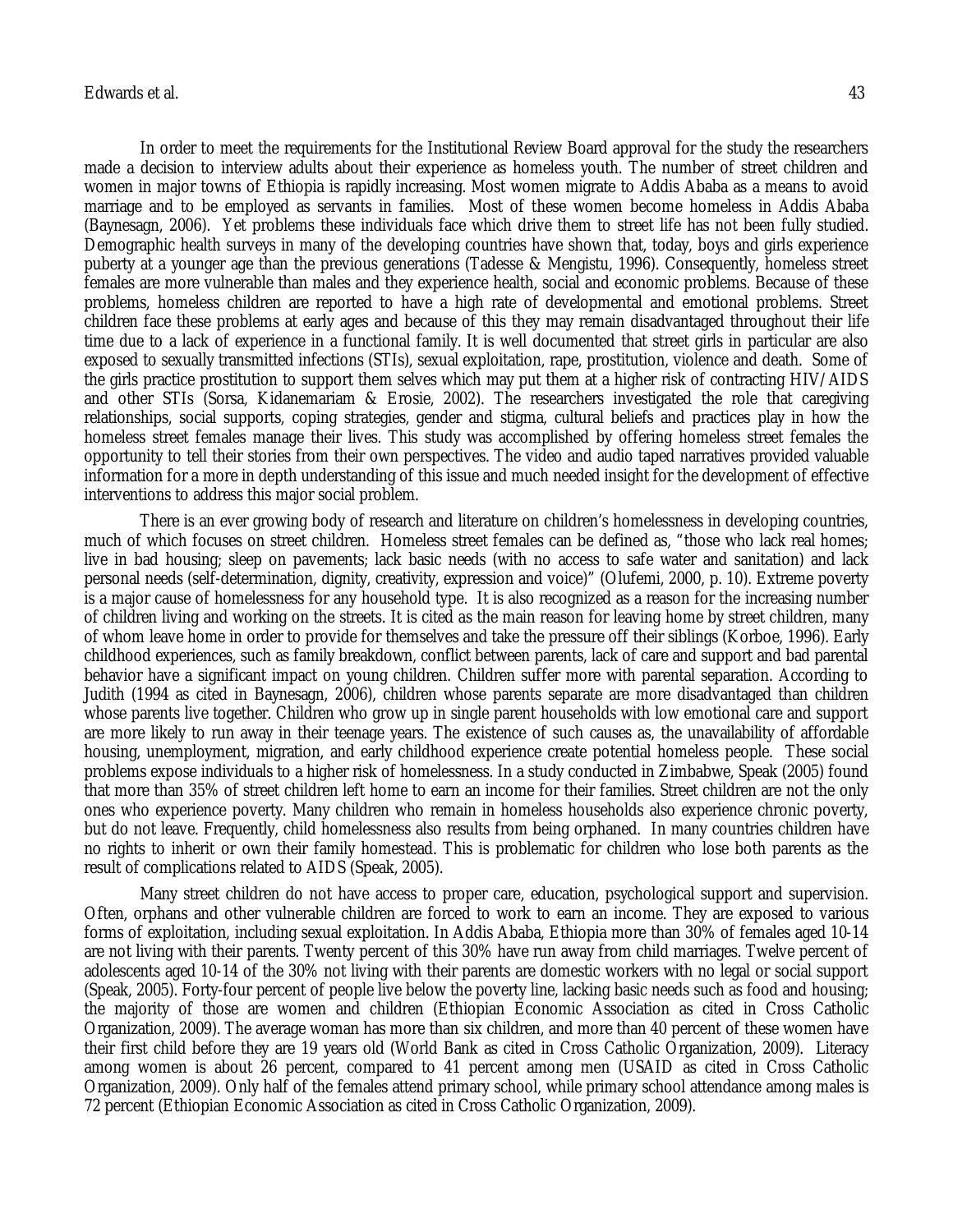## Edwards et al. 43

In order to meet the requirements for the Institutional Review Board approval for the study the researchers made a decision to interview adults about their experience as homeless youth. The number of street children and women in major towns of Ethiopia is rapidly increasing. Most women migrate to Addis Ababa as a means to avoid marriage and to be employed as servants in families. Most of these women become homeless in Addis Ababa (Baynesagn, 2006). Yet problems these individuals face which drive them to street life has not been fully studied. Demographic health surveys in many of the developing countries have shown that, today, boys and girls experience puberty at a younger age than the previous generations (Tadesse & Mengistu, 1996). Consequently, homeless street females are more vulnerable than males and they experience health, social and economic problems. Because of these problems, homeless children are reported to have a high rate of developmental and emotional problems. Street children face these problems at early ages and because of this they may remain disadvantaged throughout their life time due to a lack of experience in a functional family. It is well documented that street girls in particular are also exposed to sexually transmitted infections (STIs), sexual exploitation, rape, prostitution, violence and death. Some of the girls practice prostitution to support them selves which may put them at a higher risk of contracting HIV/AIDS and other STIs (Sorsa, Kidanemariam & Erosie, 2002). The researchers investigated the role that caregiving relationships, social supports, coping strategies, gender and stigma, cultural beliefs and practices play in how the homeless street females manage their lives. This study was accomplished by offering homeless street females the opportunity to tell their stories from their own perspectives. The video and audio taped narratives provided valuable information for a more in depth understanding of this issue and much needed insight for the development of effective interventions to address this major social problem.

There is an ever growing body of research and literature on children's homelessness in developing countries, much of which focuses on street children. Homeless street females can be defined as, "those who lack real homes; live in bad housing; sleep on pavements; lack basic needs (with no access to safe water and sanitation) and lack personal needs (self-determination, dignity, creativity, expression and voice)" (Olufemi, 2000, p. 10). Extreme poverty is a major cause of homelessness for any household type. It is also recognized as a reason for the increasing number of children living and working on the streets. It is cited as the main reason for leaving home by street children, many of whom leave home in order to provide for themselves and take the pressure off their siblings (Korboe, 1996). Early childhood experiences, such as family breakdown, conflict between parents, lack of care and support and bad parental behavior have a significant impact on young children. Children suffer more with parental separation. According to Judith (1994 as cited in Baynesagn, 2006), children whose parents separate are more disadvantaged than children whose parents live together. Children who grow up in single parent households with low emotional care and support are more likely to run away in their teenage years. The existence of such causes as, the unavailability of affordable housing, unemployment, migration, and early childhood experience create potential homeless people. These social problems expose individuals to a higher risk of homelessness. In a study conducted in Zimbabwe, Speak (2005) found that more than 35% of street children left home to earn an income for their families. Street children are not the only ones who experience poverty. Many children who remain in homeless households also experience chronic poverty, but do not leave. Frequently, child homelessness also results from being orphaned. In many countries children have no rights to inherit or own their family homestead. This is problematic for children who lose both parents as the result of complications related to AIDS (Speak, 2005).

Many street children do not have access to proper care, education, psychological support and supervision. Often, orphans and other vulnerable children are forced to work to earn an income. They are exposed to various forms of exploitation, including sexual exploitation. In Addis Ababa, Ethiopia more than 30% of females aged 10-14 are not living with their parents. Twenty percent of this 30% have run away from child marriages. Twelve percent of adolescents aged 10-14 of the 30% not living with their parents are domestic workers with no legal or social support (Speak, 2005). Forty-four percent of people live below the poverty line, lacking basic needs such as food and housing; the majority of those are women and children (Ethiopian Economic Association as cited in Cross Catholic Organization, 2009). The average woman has more than six children, and more than 40 percent of these women have their first child before they are 19 years old (World Bank as cited in Cross Catholic Organization, 2009). Literacy among women is about 26 percent, compared to 41 percent among men (USAID as cited in Cross Catholic Organization, 2009). Only half of the females attend primary school, while primary school attendance among males is 72 percent (Ethiopian Economic Association as cited in Cross Catholic Organization, 2009).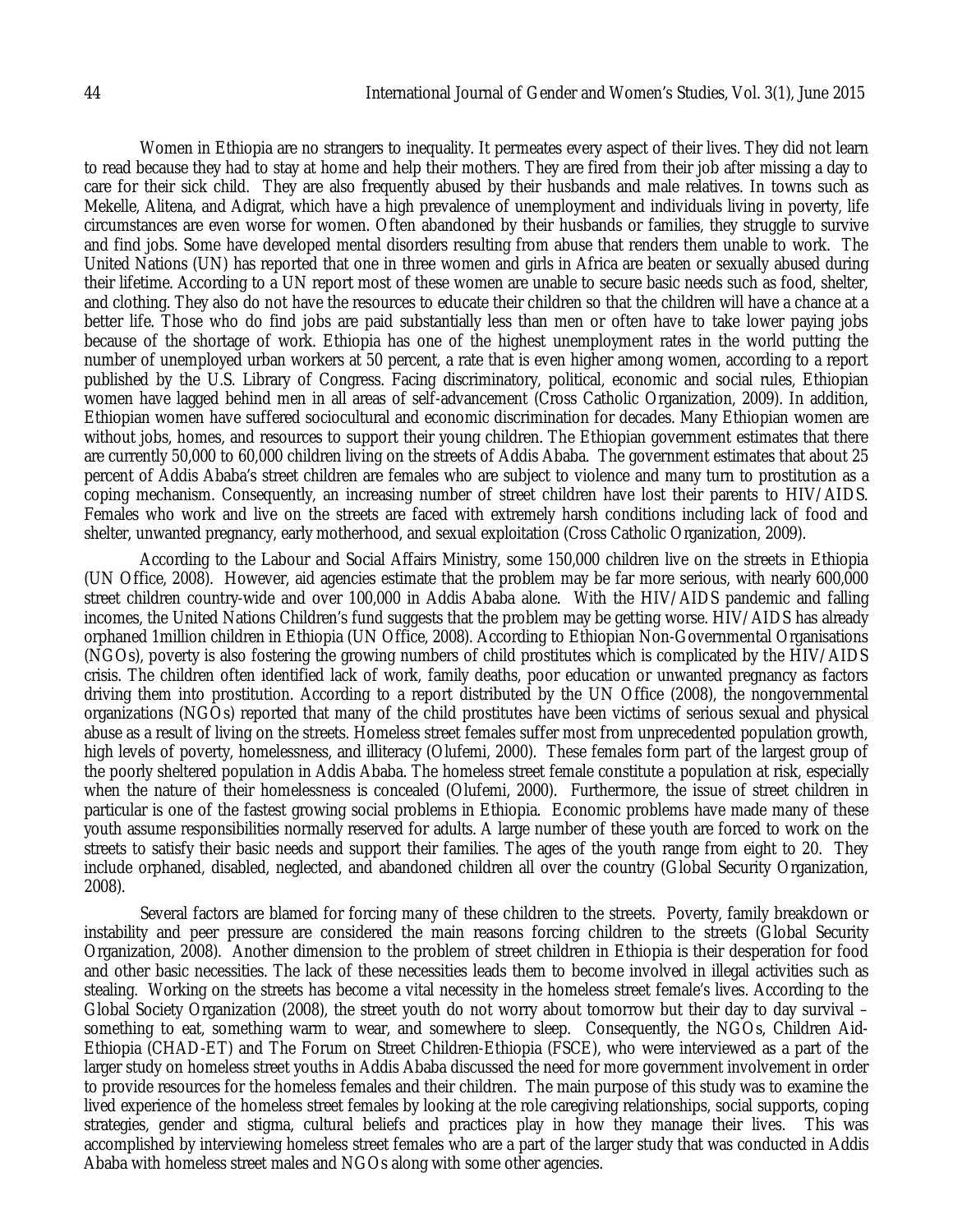Women in Ethiopia are no strangers to inequality. It permeates every aspect of their lives. They did not learn to read because they had to stay at home and help their mothers. They are fired from their job after missing a day to care for their sick child. They are also frequently abused by their husbands and male relatives. In towns such as Mekelle, Alitena, and Adigrat, which have a high prevalence of unemployment and individuals living in poverty, life circumstances are even worse for women. Often abandoned by their husbands or families, they struggle to survive and find jobs. Some have developed mental disorders resulting from abuse that renders them unable to work. The United Nations (UN) has reported that one in three women and girls in Africa are beaten or sexually abused during their lifetime. According to a UN report most of these women are unable to secure basic needs such as food, shelter, and clothing. They also do not have the resources to educate their children so that the children will have a chance at a better life. Those who do find jobs are paid substantially less than men or often have to take lower paying jobs because of the shortage of work. Ethiopia has one of the highest unemployment rates in the world putting the number of unemployed urban workers at 50 percent, a rate that is even higher among women, according to a report published by the U.S. Library of Congress. Facing discriminatory, political, economic and social rules, Ethiopian women have lagged behind men in all areas of self-advancement (Cross Catholic Organization, 2009). In addition, Ethiopian women have suffered sociocultural and economic discrimination for decades. Many Ethiopian women are without jobs, homes, and resources to support their young children. The Ethiopian government estimates that there are currently 50,000 to 60,000 children living on the streets of Addis Ababa. The government estimates that about 25 percent of Addis Ababa's street children are females who are subject to violence and many turn to prostitution as a coping mechanism. Consequently, an increasing number of street children have lost their parents to HIV/AIDS. Females who work and live on the streets are faced with extremely harsh conditions including lack of food and shelter, unwanted pregnancy, early motherhood, and sexual exploitation (Cross Catholic Organization, 2009).

According to the Labour and Social Affairs Ministry, some 150,000 children live on the streets in Ethiopia (UN Office, 2008). However, aid agencies estimate that the problem may be far more serious, with nearly 600,000 street children country-wide and over 100,000 in Addis Ababa alone. With the HIV/AIDS pandemic and falling incomes, the United Nations Children's fund suggests that the problem may be getting worse. HIV/AIDS has already orphaned 1million children in Ethiopia (UN Office, 2008). According to Ethiopian Non-Governmental Organisations (NGOs), poverty is also fostering the growing numbers of child prostitutes which is complicated by the HIV/AIDS crisis. The children often identified lack of work, family deaths, poor education or unwanted pregnancy as factors driving them into prostitution. According to a report distributed by the UN Office (2008), the nongovernmental organizations (NGOs) reported that many of the child prostitutes have been victims of serious sexual and physical abuse as a result of living on the streets. Homeless street females suffer most from unprecedented population growth, high levels of poverty, homelessness, and illiteracy (Olufemi, 2000). These females form part of the largest group of the poorly sheltered population in Addis Ababa. The homeless street female constitute a population at risk, especially when the nature of their homelessness is concealed (Olufemi, 2000). Furthermore, the issue of street children in particular is one of the fastest growing social problems in Ethiopia. Economic problems have made many of these youth assume responsibilities normally reserved for adults. A large number of these youth are forced to work on the streets to satisfy their basic needs and support their families. The ages of the youth range from eight to 20. They include orphaned, disabled, neglected, and abandoned children all over the country (Global Security Organization, 2008).

Several factors are blamed for forcing many of these children to the streets. Poverty, family breakdown or instability and peer pressure are considered the main reasons forcing children to the streets (Global Security Organization, 2008). Another dimension to the problem of street children in Ethiopia is their desperation for food and other basic necessities. The lack of these necessities leads them to become involved in illegal activities such as stealing. Working on the streets has become a vital necessity in the homeless street female's lives. According to the Global Society Organization (2008), the street youth do not worry about tomorrow but their day to day survival – something to eat, something warm to wear, and somewhere to sleep. Consequently, the NGOs, Children Aid-Ethiopia (CHAD-ET) and The Forum on Street Children-Ethiopia (FSCE), who were interviewed as a part of the larger study on homeless street youths in Addis Ababa discussed the need for more government involvement in order to provide resources for the homeless females and their children. The main purpose of this study was to examine the lived experience of the homeless street females by looking at the role caregiving relationships, social supports, coping strategies, gender and stigma, cultural beliefs and practices play in how they manage their lives. This was accomplished by interviewing homeless street females who are a part of the larger study that was conducted in Addis Ababa with homeless street males and NGOs along with some other agencies.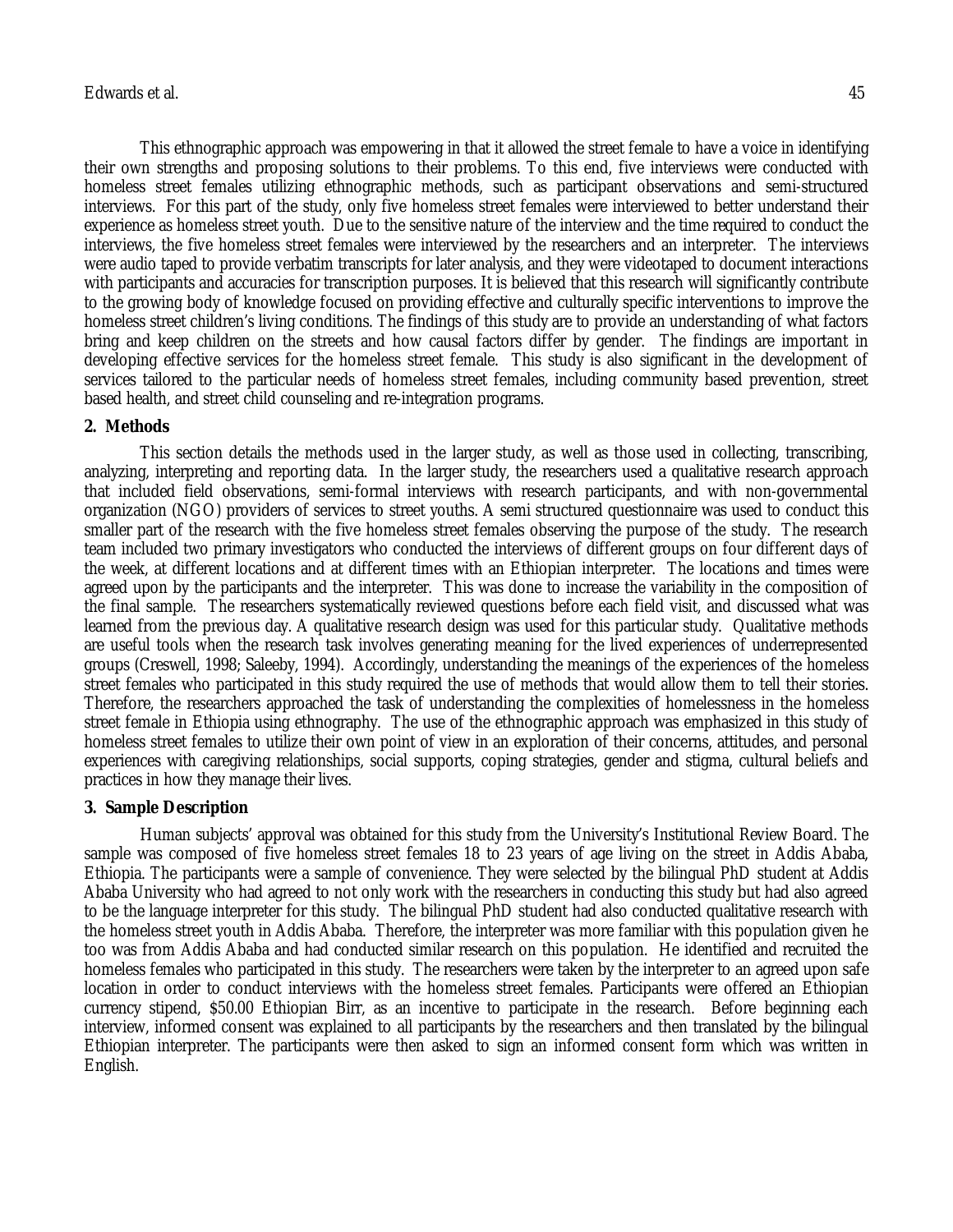This ethnographic approach was empowering in that it allowed the street female to have a voice in identifying their own strengths and proposing solutions to their problems. To this end, five interviews were conducted with homeless street females utilizing ethnographic methods, such as participant observations and semi-structured interviews. For this part of the study, only five homeless street females were interviewed to better understand their experience as homeless street youth. Due to the sensitive nature of the interview and the time required to conduct the interviews, the five homeless street females were interviewed by the researchers and an interpreter. The interviews were audio taped to provide verbatim transcripts for later analysis, and they were videotaped to document interactions with participants and accuracies for transcription purposes. It is believed that this research will significantly contribute to the growing body of knowledge focused on providing effective and culturally specific interventions to improve the homeless street children's living conditions. The findings of this study are to provide an understanding of what factors bring and keep children on the streets and how causal factors differ by gender. The findings are important in developing effective services for the homeless street female. This study is also significant in the development of services tailored to the particular needs of homeless street females, including community based prevention, street based health, and street child counseling and re-integration programs.

# **2. Methods**

This section details the methods used in the larger study, as well as those used in collecting, transcribing, analyzing, interpreting and reporting data. In the larger study, the researchers used a qualitative research approach that included field observations, semi-formal interviews with research participants, and with non-governmental organization (NGO) providers of services to street youths. A semi structured questionnaire was used to conduct this smaller part of the research with the five homeless street females observing the purpose of the study. The research team included two primary investigators who conducted the interviews of different groups on four different days of the week, at different locations and at different times with an Ethiopian interpreter. The locations and times were agreed upon by the participants and the interpreter. This was done to increase the variability in the composition of the final sample. The researchers systematically reviewed questions before each field visit, and discussed what was learned from the previous day. A qualitative research design was used for this particular study. Qualitative methods are useful tools when the research task involves generating meaning for the lived experiences of underrepresented groups (Creswell, 1998; Saleeby, 1994). Accordingly, understanding the meanings of the experiences of the homeless street females who participated in this study required the use of methods that would allow them to tell their stories. Therefore, the researchers approached the task of understanding the complexities of homelessness in the homeless street female in Ethiopia using ethnography. The use of the ethnographic approach was emphasized in this study of homeless street females to utilize their own point of view in an exploration of their concerns, attitudes, and personal experiences with caregiving relationships, social supports, coping strategies, gender and stigma, cultural beliefs and practices in how they manage their lives.

# **3. Sample Description**

Human subjects' approval was obtained for this study from the University's Institutional Review Board. The sample was composed of five homeless street females 18 to 23 years of age living on the street in Addis Ababa, Ethiopia. The participants were a sample of convenience. They were selected by the bilingual PhD student at Addis Ababa University who had agreed to not only work with the researchers in conducting this study but had also agreed to be the language interpreter for this study. The bilingual PhD student had also conducted qualitative research with the homeless street youth in Addis Ababa. Therefore, the interpreter was more familiar with this population given he too was from Addis Ababa and had conducted similar research on this population. He identified and recruited the homeless females who participated in this study. The researchers were taken by the interpreter to an agreed upon safe location in order to conduct interviews with the homeless street females. Participants were offered an Ethiopian currency stipend, \$50.00 Ethiopian Birr, as an incentive to participate in the research. Before beginning each interview, informed consent was explained to all participants by the researchers and then translated by the bilingual Ethiopian interpreter. The participants were then asked to sign an informed consent form which was written in English.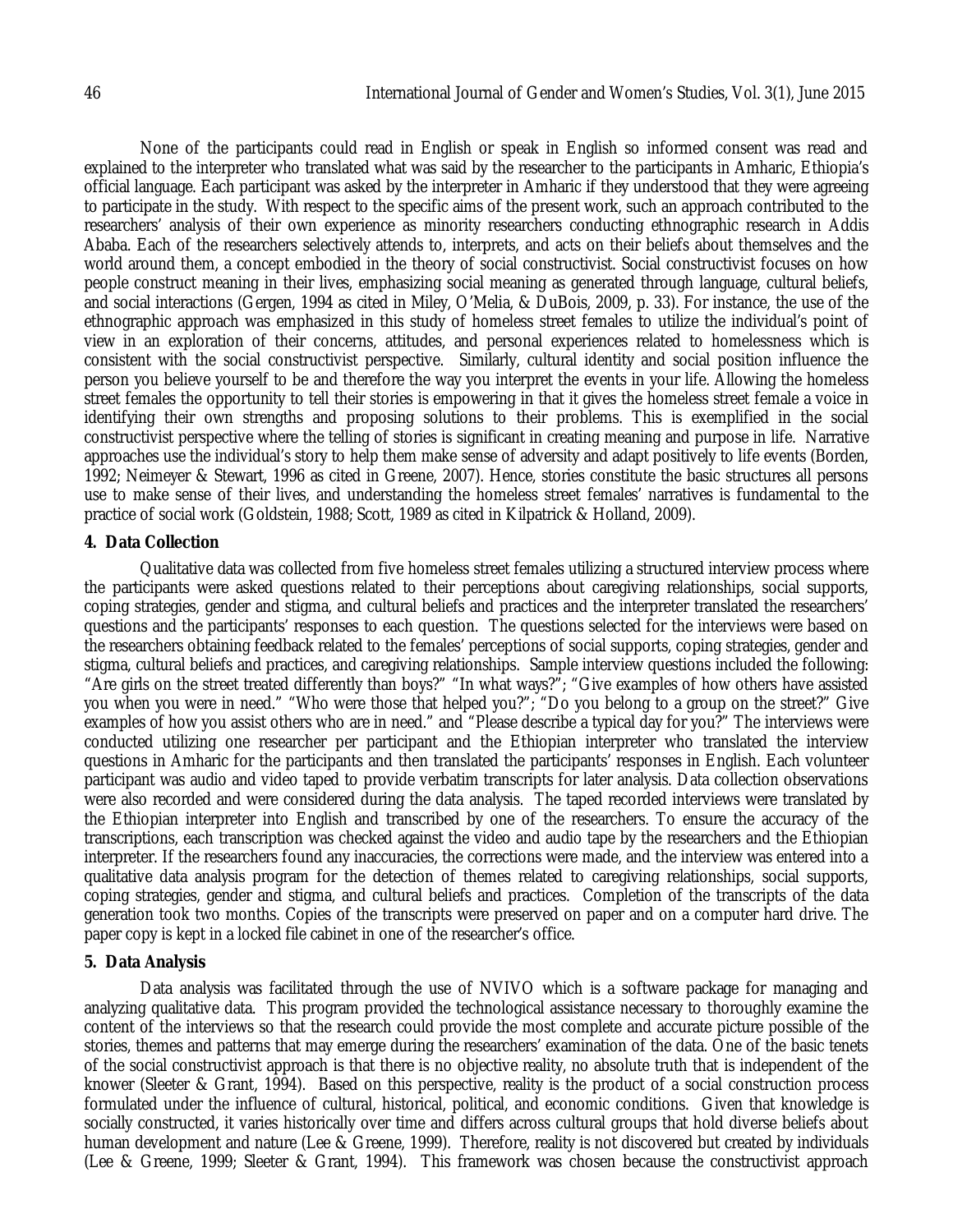None of the participants could read in English or speak in English so informed consent was read and explained to the interpreter who translated what was said by the researcher to the participants in Amharic, Ethiopia's official language. Each participant was asked by the interpreter in Amharic if they understood that they were agreeing to participate in the study. With respect to the specific aims of the present work, such an approach contributed to the researchers' analysis of their own experience as minority researchers conducting ethnographic research in Addis Ababa. Each of the researchers selectively attends to, interprets, and acts on their beliefs about themselves and the world around them, a concept embodied in the theory of social constructivist. Social constructivist focuses on how people construct meaning in their lives, emphasizing social meaning as generated through language, cultural beliefs, and social interactions (Gergen, 1994 as cited in Miley, O'Melia, & DuBois, 2009, p. 33). For instance, the use of the ethnographic approach was emphasized in this study of homeless street females to utilize the individual's point of view in an exploration of their concerns, attitudes, and personal experiences related to homelessness which is consistent with the social constructivist perspective. Similarly, cultural identity and social position influence the person you believe yourself to be and therefore the way you interpret the events in your life. Allowing the homeless street females the opportunity to tell their stories is empowering in that it gives the homeless street female a voice in identifying their own strengths and proposing solutions to their problems. This is exemplified in the social constructivist perspective where the telling of stories is significant in creating meaning and purpose in life. Narrative approaches use the individual's story to help them make sense of adversity and adapt positively to life events (Borden, 1992; Neimeyer & Stewart, 1996 as cited in Greene, 2007). Hence, stories constitute the basic structures all persons use to make sense of their lives, and understanding the homeless street females' narratives is fundamental to the practice of social work (Goldstein, 1988; Scott, 1989 as cited in Kilpatrick & Holland, 2009).

## **4. Data Collection**

Qualitative data was collected from five homeless street females utilizing a structured interview process where the participants were asked questions related to their perceptions about caregiving relationships, social supports, coping strategies, gender and stigma, and cultural beliefs and practices and the interpreter translated the researchers' questions and the participants' responses to each question. The questions selected for the interviews were based on the researchers obtaining feedback related to the females' perceptions of social supports, coping strategies, gender and stigma, cultural beliefs and practices, and caregiving relationships. Sample interview questions included the following: "Are girls on the street treated differently than boys?" "In what ways?"; "Give examples of how others have assisted you when you were in need." "Who were those that helped you?"; "Do you belong to a group on the street?" Give examples of how you assist others who are in need." and "Please describe a typical day for you?" The interviews were conducted utilizing one researcher per participant and the Ethiopian interpreter who translated the interview questions in Amharic for the participants and then translated the participants' responses in English. Each volunteer participant was audio and video taped to provide verbatim transcripts for later analysis. Data collection observations were also recorded and were considered during the data analysis. The taped recorded interviews were translated by the Ethiopian interpreter into English and transcribed by one of the researchers. To ensure the accuracy of the transcriptions, each transcription was checked against the video and audio tape by the researchers and the Ethiopian interpreter. If the researchers found any inaccuracies, the corrections were made, and the interview was entered into a qualitative data analysis program for the detection of themes related to caregiving relationships, social supports, coping strategies, gender and stigma, and cultural beliefs and practices. Completion of the transcripts of the data generation took two months. Copies of the transcripts were preserved on paper and on a computer hard drive. The paper copy is kept in a locked file cabinet in one of the researcher's office.

#### **5. Data Analysis**

Data analysis was facilitated through the use of NVIVO which is a software package for managing and analyzing qualitative data. This program provided the technological assistance necessary to thoroughly examine the content of the interviews so that the research could provide the most complete and accurate picture possible of the stories, themes and patterns that may emerge during the researchers' examination of the data. One of the basic tenets of the social constructivist approach is that there is no objective reality, no absolute truth that is independent of the knower (Sleeter & Grant, 1994). Based on this perspective, reality is the product of a social construction process formulated under the influence of cultural, historical, political, and economic conditions. Given that knowledge is socially constructed, it varies historically over time and differs across cultural groups that hold diverse beliefs about human development and nature (Lee & Greene, 1999). Therefore, reality is not discovered but created by individuals (Lee & Greene, 1999; Sleeter & Grant, 1994). This framework was chosen because the constructivist approach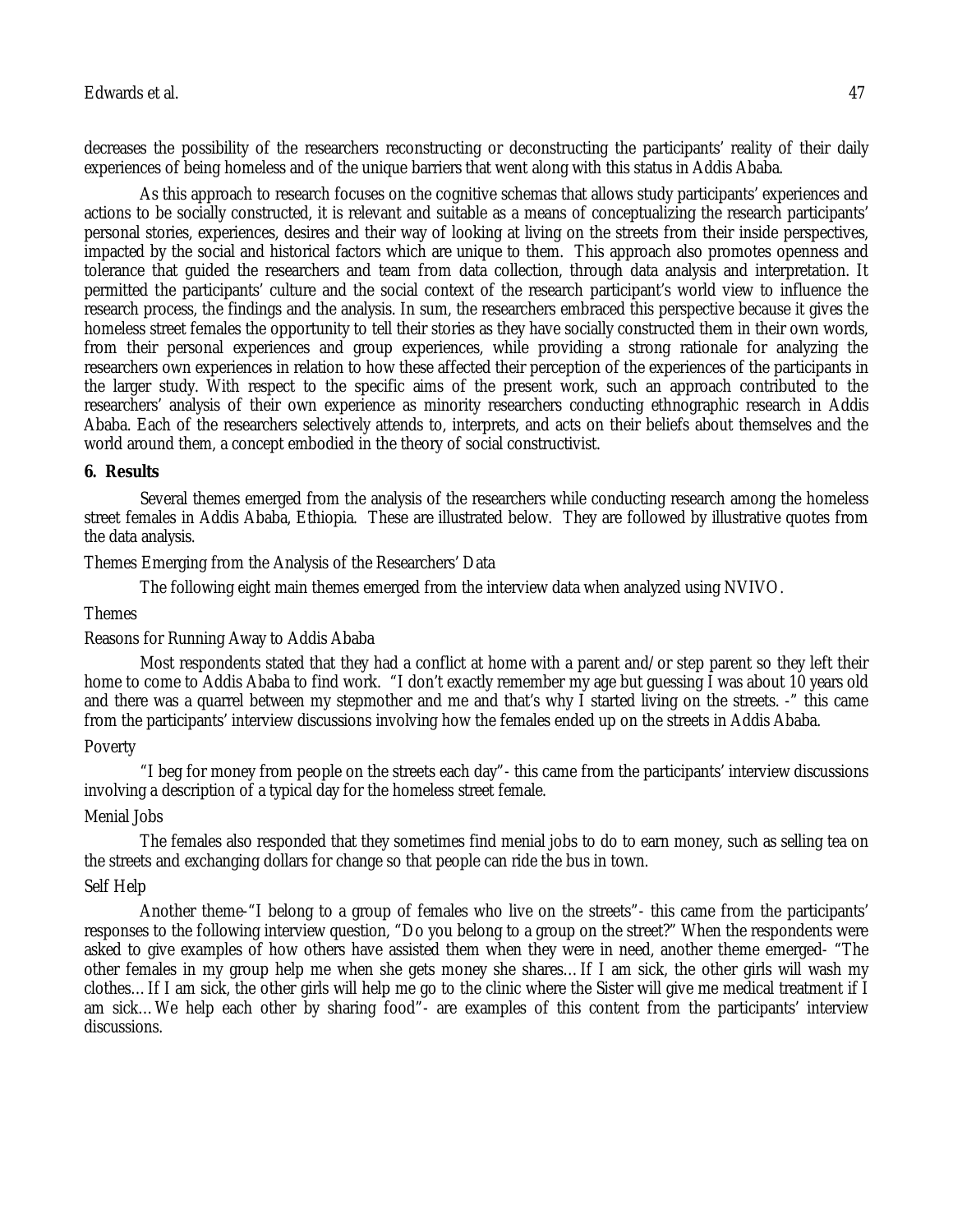decreases the possibility of the researchers reconstructing or deconstructing the participants' reality of their daily experiences of being homeless and of the unique barriers that went along with this status in Addis Ababa.

As this approach to research focuses on the cognitive schemas that allows study participants' experiences and actions to be socially constructed, it is relevant and suitable as a means of conceptualizing the research participants' personal stories, experiences, desires and their way of looking at living on the streets from their inside perspectives, impacted by the social and historical factors which are unique to them. This approach also promotes openness and tolerance that guided the researchers and team from data collection, through data analysis and interpretation. It permitted the participants' culture and the social context of the research participant's world view to influence the research process, the findings and the analysis. In sum, the researchers embraced this perspective because it gives the homeless street females the opportunity to tell their stories as they have socially constructed them in their own words, from their personal experiences and group experiences, while providing a strong rationale for analyzing the researchers own experiences in relation to how these affected their perception of the experiences of the participants in the larger study. With respect to the specific aims of the present work, such an approach contributed to the researchers' analysis of their own experience as minority researchers conducting ethnographic research in Addis Ababa. Each of the researchers selectively attends to, interprets, and acts on their beliefs about themselves and the world around them, a concept embodied in the theory of social constructivist.

## **6. Results**

Several themes emerged from the analysis of the researchers while conducting research among the homeless street females in Addis Ababa, Ethiopia. These are illustrated below. They are followed by illustrative quotes from the data analysis.

Themes Emerging from the Analysis of the Researchers' Data

The following eight main themes emerged from the interview data when analyzed using NVIVO.

#### Themes

## Reasons for Running Away to Addis Ababa

Most respondents stated that they had a conflict at home with a parent and/or step parent so they left their home to come to Addis Ababa to find work. "I don't exactly remember my age but guessing I was about 10 years old and there was a quarrel between my stepmother and me and that's why I started living on the streets. -" this came from the participants' interview discussions involving how the females ended up on the streets in Addis Ababa.

## Poverty

"I beg for money from people on the streets each day"- this came from the participants' interview discussions involving a description of a typical day for the homeless street female.

## Menial Jobs

The females also responded that they sometimes find menial jobs to do to earn money, such as selling tea on the streets and exchanging dollars for change so that people can ride the bus in town.

## Self Help

Another theme-"I belong to a group of females who live on the streets"- this came from the participants' responses to the following interview question, "Do you belong to a group on the street?" When the respondents were asked to give examples of how others have assisted them when they were in need, another theme emerged- "The other females in my group help me when she gets money she shares…If I am sick, the other girls will wash my clothes…If I am sick, the other girls will help me go to the clinic where the Sister will give me medical treatment if I am sick…We help each other by sharing food"- are examples of this content from the participants' interview discussions.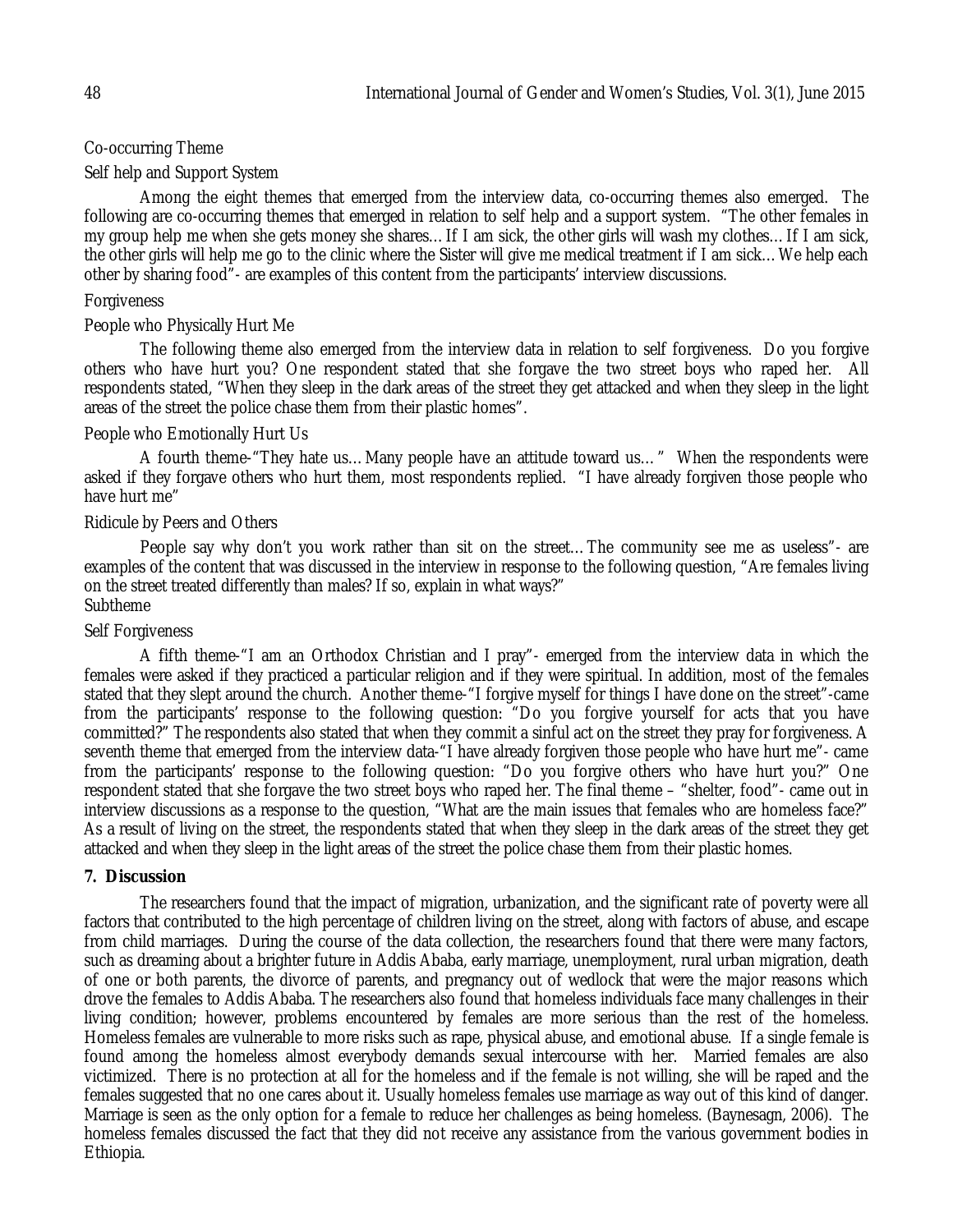# Co-occurring Theme

## Self help and Support System

Among the eight themes that emerged from the interview data, co-occurring themes also emerged. The following are co-occurring themes that emerged in relation to self help and a support system. "The other females in my group help me when she gets money she shares…If I am sick, the other girls will wash my clothes…If I am sick, the other girls will help me go to the clinic where the Sister will give me medical treatment if I am sick…We help each other by sharing food"- are examples of this content from the participants' interview discussions.

## Forgiveness

## People who Physically Hurt Me

The following theme also emerged from the interview data in relation to self forgiveness. Do you forgive others who have hurt you? One respondent stated that she forgave the two street boys who raped her. All respondents stated, "When they sleep in the dark areas of the street they get attacked and when they sleep in the light areas of the street the police chase them from their plastic homes".

## People who Emotionally Hurt Us

A fourth theme-"They hate us…Many people have an attitude toward us…" When the respondents were asked if they forgave others who hurt them, most respondents replied. "I have already forgiven those people who have hurt me"

#### Ridicule by Peers and Others

People say why don't you work rather than sit on the street... The community see me as useless"- are examples of the content that was discussed in the interview in response to the following question, "Are females living on the street treated differently than males? If so, explain in what ways?" Subtheme

#### Self Forgiveness

A fifth theme-"I am an Orthodox Christian and I pray"- emerged from the interview data in which the females were asked if they practiced a particular religion and if they were spiritual. In addition, most of the females stated that they slept around the church. Another theme-"I forgive myself for things I have done on the street"-came from the participants' response to the following question: "Do you forgive yourself for acts that you have committed?" The respondents also stated that when they commit a sinful act on the street they pray for forgiveness. A seventh theme that emerged from the interview data-"I have already forgiven those people who have hurt me"- came from the participants' response to the following question: "Do you forgive others who have hurt you?" One respondent stated that she forgave the two street boys who raped her. The final theme – "shelter, food"- came out in interview discussions as a response to the question, "What are the main issues that females who are homeless face?" As a result of living on the street, the respondents stated that when they sleep in the dark areas of the street they get attacked and when they sleep in the light areas of the street the police chase them from their plastic homes.

#### **7. Discussion**

The researchers found that the impact of migration, urbanization, and the significant rate of poverty were all factors that contributed to the high percentage of children living on the street, along with factors of abuse, and escape from child marriages. During the course of the data collection, the researchers found that there were many factors, such as dreaming about a brighter future in Addis Ababa, early marriage, unemployment, rural urban migration, death of one or both parents, the divorce of parents, and pregnancy out of wedlock that were the major reasons which drove the females to Addis Ababa. The researchers also found that homeless individuals face many challenges in their living condition; however, problems encountered by females are more serious than the rest of the homeless. Homeless females are vulnerable to more risks such as rape, physical abuse, and emotional abuse. If a single female is found among the homeless almost everybody demands sexual intercourse with her. Married females are also victimized. There is no protection at all for the homeless and if the female is not willing, she will be raped and the females suggested that no one cares about it. Usually homeless females use marriage as way out of this kind of danger. Marriage is seen as the only option for a female to reduce her challenges as being homeless. (Baynesagn, 2006). The homeless females discussed the fact that they did not receive any assistance from the various government bodies in Ethiopia.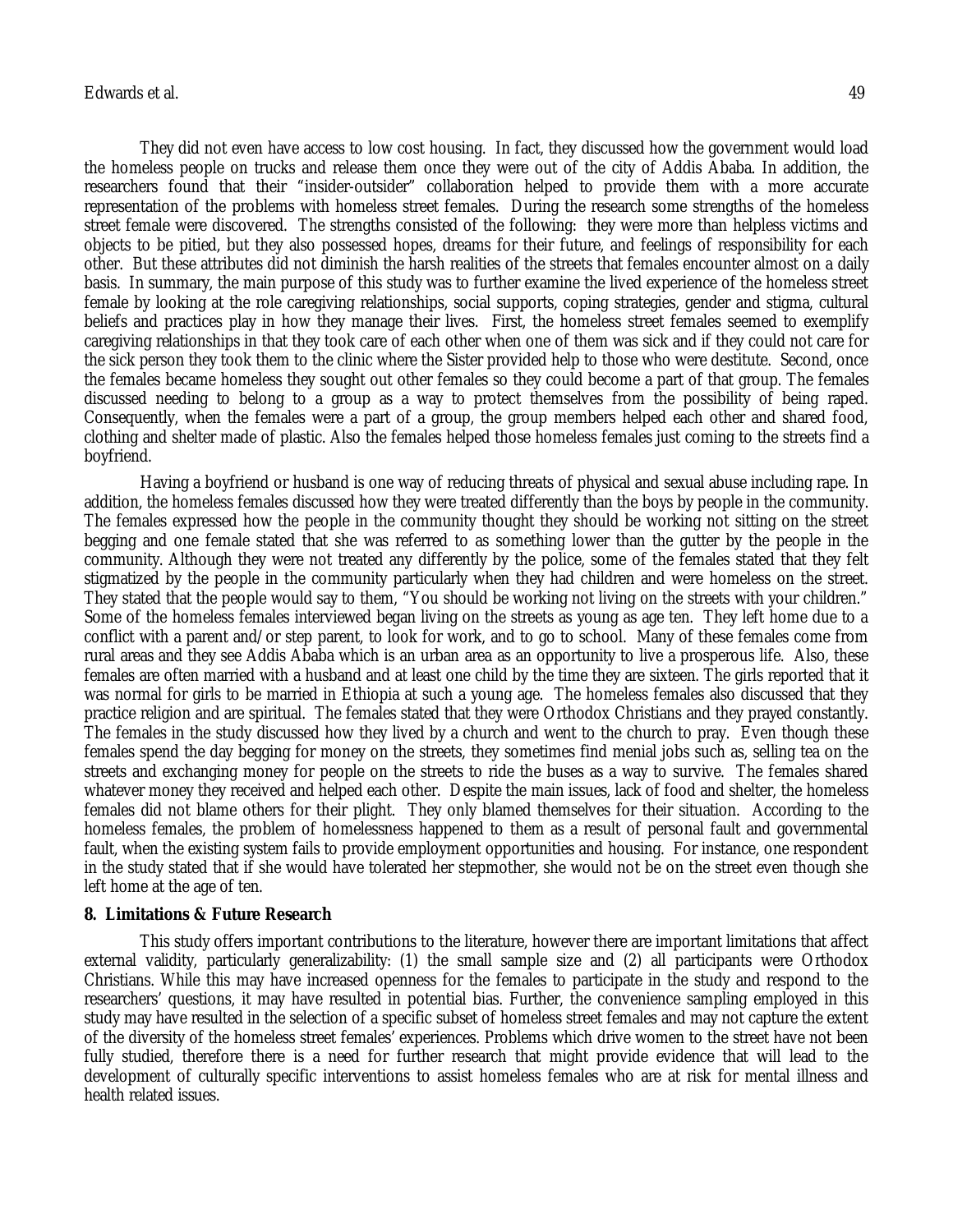# Edwards et al. 49

They did not even have access to low cost housing. In fact, they discussed how the government would load the homeless people on trucks and release them once they were out of the city of Addis Ababa. In addition, the researchers found that their "insider-outsider" collaboration helped to provide them with a more accurate representation of the problems with homeless street females. During the research some strengths of the homeless street female were discovered. The strengths consisted of the following: they were more than helpless victims and objects to be pitied, but they also possessed hopes, dreams for their future, and feelings of responsibility for each other. But these attributes did not diminish the harsh realities of the streets that females encounter almost on a daily basis. In summary, the main purpose of this study was to further examine the lived experience of the homeless street female by looking at the role caregiving relationships, social supports, coping strategies, gender and stigma, cultural beliefs and practices play in how they manage their lives. First, the homeless street females seemed to exemplify caregiving relationships in that they took care of each other when one of them was sick and if they could not care for the sick person they took them to the clinic where the Sister provided help to those who were destitute. Second, once the females became homeless they sought out other females so they could become a part of that group. The females discussed needing to belong to a group as a way to protect themselves from the possibility of being raped. Consequently, when the females were a part of a group, the group members helped each other and shared food, clothing and shelter made of plastic. Also the females helped those homeless females just coming to the streets find a boyfriend.

Having a boyfriend or husband is one way of reducing threats of physical and sexual abuse including rape. In addition, the homeless females discussed how they were treated differently than the boys by people in the community. The females expressed how the people in the community thought they should be working not sitting on the street begging and one female stated that she was referred to as something lower than the gutter by the people in the community. Although they were not treated any differently by the police, some of the females stated that they felt stigmatized by the people in the community particularly when they had children and were homeless on the street. They stated that the people would say to them, "You should be working not living on the streets with your children." Some of the homeless females interviewed began living on the streets as young as age ten. They left home due to a conflict with a parent and/or step parent, to look for work, and to go to school. Many of these females come from rural areas and they see Addis Ababa which is an urban area as an opportunity to live a prosperous life. Also, these females are often married with a husband and at least one child by the time they are sixteen. The girls reported that it was normal for girls to be married in Ethiopia at such a young age. The homeless females also discussed that they practice religion and are spiritual. The females stated that they were Orthodox Christians and they prayed constantly. The females in the study discussed how they lived by a church and went to the church to pray. Even though these females spend the day begging for money on the streets, they sometimes find menial jobs such as, selling tea on the streets and exchanging money for people on the streets to ride the buses as a way to survive. The females shared whatever money they received and helped each other. Despite the main issues, lack of food and shelter, the homeless females did not blame others for their plight. They only blamed themselves for their situation. According to the homeless females, the problem of homelessness happened to them as a result of personal fault and governmental fault, when the existing system fails to provide employment opportunities and housing. For instance, one respondent in the study stated that if she would have tolerated her stepmother, she would not be on the street even though she left home at the age of ten.

#### **8. Limitations & Future Research**

This study offers important contributions to the literature, however there are important limitations that affect external validity, particularly generalizability: (1) the small sample size and (2) all participants were Orthodox Christians. While this may have increased openness for the females to participate in the study and respond to the researchers' questions, it may have resulted in potential bias. Further, the convenience sampling employed in this study may have resulted in the selection of a specific subset of homeless street females and may not capture the extent of the diversity of the homeless street females' experiences. Problems which drive women to the street have not been fully studied, therefore there is a need for further research that might provide evidence that will lead to the development of culturally specific interventions to assist homeless females who are at risk for mental illness and health related issues.